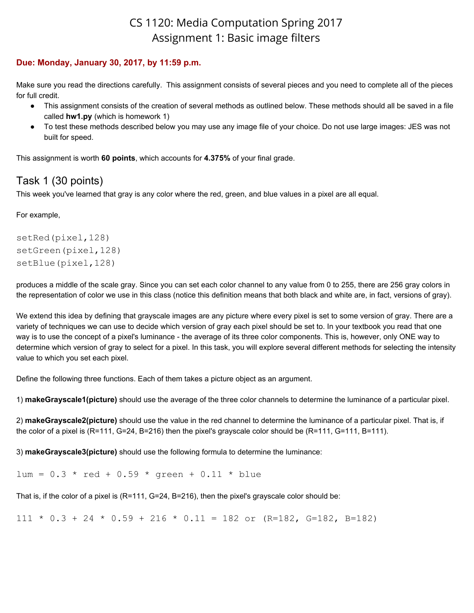# CS 1120: Media Computation Spring 2017 Assignment 1: Basic image filters

#### **Due: Monday, January 30, 2017, by 11:59 p.m.**

Make sure you read the directions carefully. This assignment consists of several pieces and you need to complete all of the pieces for full credit.

- This assignment consists of the creation of several methods as outlined below. These methods should all be saved in a file called **hw1.py** (which is homework 1)
- To test these methods described below you may use any image file of your choice. Do not use large images: JES was not built for speed.

This assignment is worth **60 points**, which accounts for **4.375%** of your final grade.

# Task 1 (30 points)

This week you've learned that gray is any color where the red, green, and blue values in a pixel are all equal.

For example,

```
setRed(pixel,128)
setGreen(pixel,128)
setBlue(pixel,128)
```
produces a middle of the scale gray. Since you can set each color channel to any value from 0 to 255, there are 256 gray colors in the representation of color we use in this class (notice this definition means that both black and white are, in fact, versions of gray).

We extend this idea by defining that grayscale images are any picture where every pixel is set to some version of gray. There are a variety of techniques we can use to decide which version of gray each pixel should be set to. In your textbook you read that one way is to use the concept of a pixel's luminance - the average of its three color components. This is, however, only ONE way to determine which version of gray to select for a pixel. In this task, you will explore several different methods for selecting the intensity value to which you set each pixel.

Define the following three functions. Each of them takes a picture object as an argument.

1) **makeGrayscale1(picture)** should use the average of the three color channels to determine the luminance of a particular pixel.

2) **makeGrayscale2(picture)** should use the value in the red channel to determine the luminance of a particular pixel. That is, if the color of a pixel is (R=111, G=24, B=216) then the pixel's grayscale color should be (R=111, G=111, B=111).

3) **makeGrayscale3(picture)** should use the following formula to determine the luminance:

 $lum = 0.3 * red + 0.59 * green + 0.11 * blue$ 

That is, if the color of a pixel is (R=111, G=24, B=216), then the pixel's grayscale color should be:

 $111 \div 0.3 + 24 \div 0.59 + 216 \div 0.11 = 182$  or (R=182, G=182, B=182)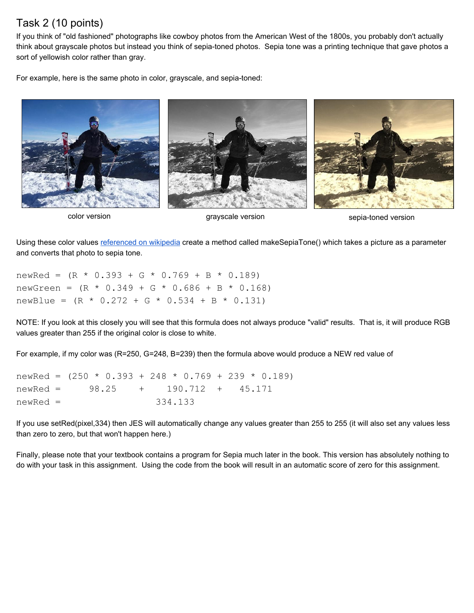### Task 2 (10 points)

If you think of "old fashioned" photographs like cowboy photos from the American West of the 1800s, you probably don't actually think about grayscale photos but instead you think of sepia-toned photos. Sepia tone was a printing technique that gave photos a sort of yellowish color rather than gray.

For example, here is the same photo in color, grayscale, and sepia-toned:



color version and the sepia-toned version sepia-toned version sepia-toned version

Using these color values [referenced on wikipedia](http://en.wikipedia.org/wiki/Sepia_tone) create a method called makeSepiaTone() which takes a picture as a parameter and converts that photo to sepia tone.

newRed =  $(R * 0.393 + G * 0.769 + B * 0.189)$ newGreen =  $(R * 0.349 + G * 0.686 + B * 0.168)$ newBlue =  $(R * 0.272 + G * 0.534 + B * 0.131)$ 

NOTE: If you look at this closely you will see that this formula does not always produce "valid" results. That is, it will produce RGB values greater than 255 if the original color is close to white.

For example, if my color was (R=250, G=248, B=239) then the formula above would produce a NEW red value of

newRed =  $(250 \times 0.393 + 248 \times 0.769 + 239 \times 0.189)$ newRed = 98.25 + 190.712 + 45.171 newRed = 334.133

If you use setRed(pixel,334) then JES will automatically change any values greater than 255 to 255 (it will also set any values less than zero to zero, but that won't happen here.)

Finally, please note that your textbook contains a program for Sepia much later in the book. This version has absolutely nothing to do with your task in this assignment. Using the code from the book will result in an automatic score of zero for this assignment.